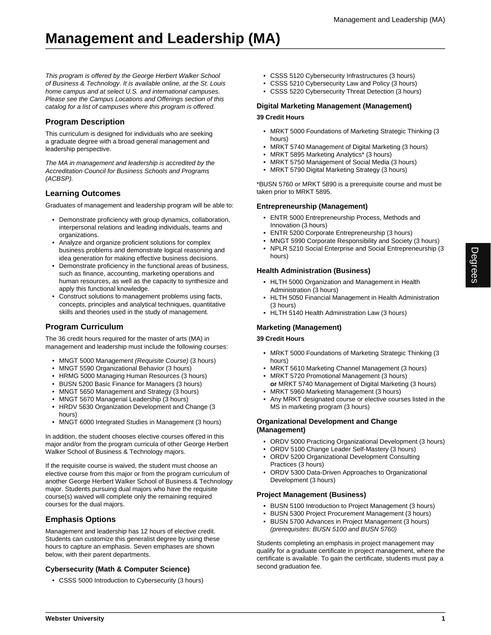This program is offered by the George Herbert Walker School of Business & Technology. It is available online, at the St. Louis home campus and at select U.S. and international campuses. Please see the Campus Locations and Offerings section of this catalog for a list of campuses where this program is offered.

## **Program Description**

This curriculum is designed for individuals who are seeking a graduate degree with a broad general management and leadership perspective.

The MA in management and leadership is accredited by the Accreditation Council for Business Schools and Programs (ACBSP).

## **Learning Outcomes**

Graduates of management and leadership program will be able to:

- Demonstrate proficiency with group dynamics, collaboration, interpersonal relations and leading individuals, teams and organizations.
- Analyze and organize proficient solutions for complex business problems and demonstrate logical reasoning and idea generation for making effective business decisions.
- Demonstrate proficiency in the functional areas of business, such as finance, accounting, marketing operations and human resources, as well as the capacity to synthesize and apply this functional knowledge.
- Construct solutions to management problems using facts, concepts, principles and analytical techniques, quantitative skills and theories used in the study of management.

# **Program Curriculum**

The 36 credit hours required for the master of arts (MA) in management and leadership must include the following courses:

- MNGT 5000 Management (Requisite Course) (3 hours)
- MNGT 5590 Organizational Behavior (3 hours)
- HRMG 5000 Managing Human Resources (3 hours)
- BUSN 5200 Basic Finance for Managers (3 hours)
- MNGT 5650 Management and Strategy (3 hours)
- MNGT 5670 Managerial Leadership (3 hours)
- HRDV 5630 Organization Development and Change (3 hours)
- MNGT 6000 Integrated Studies in Management (3 hours)

In addition, the student chooses elective courses offered in this major and/or from the program curricula of other George Herbert Walker School of Business & Technology majors.

If the requisite course is waived, the student must choose an elective course from this major or from the program curriculum of another George Herbert Walker School of Business & Technology major. Students pursuing dual majors who have the requisite course(s) waived will complete only the remaining required courses for the dual majors.

## **Emphasis Options**

Management and leadership has 12 hours of elective credit. Students can customize this generalist degree by using these hours to capture an emphasis. Seven emphases are shown below, with their parent departments.

## **Cybersecurity (Math & Computer Science)**

• CSSS 5000 Introduction to Cybersecurity (3 hours)

- CSSS 5120 Cybersecurity Infrastructures (3 hours)
- CSSS 5210 Cybersecurity Law and Policy (3 hours)
- CSSS 5220 Cybersecurity Threat Detection (3 hours)

### **Digital Marketing Management (Management)**

#### **39 Credit Hours**

- MRKT 5000 Foundations of Marketing Strategic Thinking (3 hours)
- MRKT 5740 Management of Digital Marketing (3 hours)
- MRKT 5895 Marketing Analytics\* (3 hours)
- MRKT 5750 Management of Social Media (3 hours)
- MRKT 5790 Digital Marketing Strategy (3 hours)

\*BUSN 5760 or MRKT 5890 is a prerequisite course and must be taken prior to MRKT 5895.

#### **Entrepreneurship (Management)**

- ENTR 5000 Entrepreneurship Process, Methods and Innovation (3 hours)
- ENTR 5200 Corporate Entrepreneurship (3 hours)
- MNGT 5990 Corporate Responsibility and Society (3 hours)
- NPLR 5210 Social Enterprise and Social Entrepreneurship (3 hours)

#### **Health Administration (Business)**

- HLTH 5000 Organization and Management in Health Administration (3 hours)
- HLTH 5050 Financial Management in Health Administration (3 hours)
- HLTH 5140 Health Administration Law (3 hours)

## **Marketing (Management)**

#### **39 Credit Hours**

- MRKT 5000 Foundations of Marketing Strategic Thinking (3 hours)
- MRKT 5610 Marketing Channel Management (3 hours)
- MRKT 5720 Promotional Management (3 hours)
- **or** MRKT 5740 Management of Digital Marketing (3 hours) • MRKT 5960 Marketing Management (3 hours)
- Any MRKT designated course or elective courses listed in the MS in marketing program (3 hours)

#### **Organizational Development and Change (Management)**

- ORDV 5000 Practicing Organizational Development (3 hours)
- ORDV 5100 Change Leader Self-Mastery (3 hours) • ORDV 5200 Organizational Development Consulting
- Practices (3 hours)
- ORDV 5300 Data-Driven Approaches to Organizational Development (3 hours)

#### **Project Management (Business)**

- BUSN 5100 Introduction to Project Management (3 hours)
- BUSN 5300 Project Procurement Management (3 hours)
- BUSN 5700 Advances in Project Management (3 hours) (prerequisites: BUSN 5100 and BUSN 5760)

Students completing an emphasis in project management may qualify for a graduate certificate in project management, where the certificate is available. To gain the certificate, students must pay a second graduation fee.